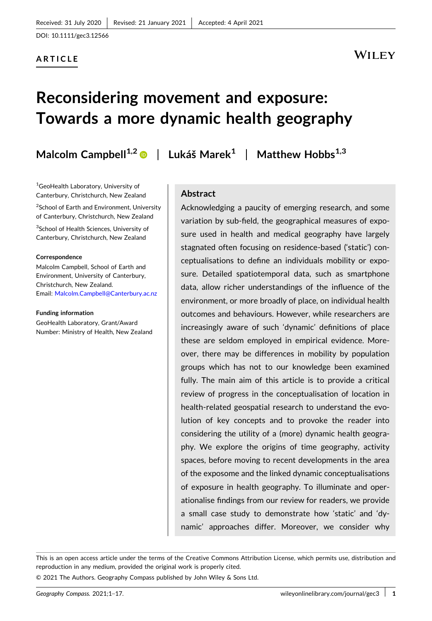DOI: [10.1111/gec3.12566](https://doi.org/10.1111/gec3.12566)

### **ARTICLE**

## WILEY

# **Reconsidering movement and exposure: Towards a more dynamic health geography**

**Malcolm Campbell1,2** | **Lukáš Marek1** | **Matthew Hobbs1,3**

1 GeoHealth Laboratory, University of Canterbury, Christchurch, New Zealand

<sup>2</sup>School of Earth and Environment, University of Canterbury, Christchurch, New Zealand

<sup>3</sup>School of Health Sciences, University of Canterbury, Christchurch, New Zealand

#### **Correspondence**

Malcolm Campbell, School of Earth and Environment, University of Canterbury, Christchurch, New Zealand. Email: [Malcolm.Campbell@Canterbury.ac.nz](mailto:Malcolm.Campbell@Canterbury.ac.nz)

#### **Funding information**

GeoHealth Laboratory, Grant/Award Number: Ministry of Health, New Zealand

#### **Abstract**

Acknowledging a paucity of emerging research, and some variation by sub‐field, the geographical measures of exposure used in health and medical geography have largely stagnated often focusing on residence‐based ('static') conceptualisations to define an individuals mobility or exposure. Detailed spatiotemporal data, such as smartphone data, allow richer understandings of the influence of the environment, or more broadly of place, on individual health outcomes and behaviours. However, while researchers are increasingly aware of such 'dynamic' definitions of place these are seldom employed in empirical evidence. Moreover, there may be differences in mobility by population groups which has not to our knowledge been examined fully. The main aim of this article is to provide a critical review of progress in the conceptualisation of location in health-related geospatial research to understand the evolution of key concepts and to provoke the reader into considering the utility of a (more) dynamic health geography. We explore the origins of time geography, activity spaces, before moving to recent developments in the area of the exposome and the linked dynamic conceptualisations of exposure in health geography. To illuminate and operationalise findings from our review for readers, we provide a small case study to demonstrate how 'static' and 'dynamic' approaches differ. Moreover, we consider why

This is an open access article under the terms of the Creative Commons Attribution License, which permits use, distribution and reproduction in any medium, provided the original work is properly cited.

© 2021 The Authors. Geography Compass published by John Wiley & Sons Ltd.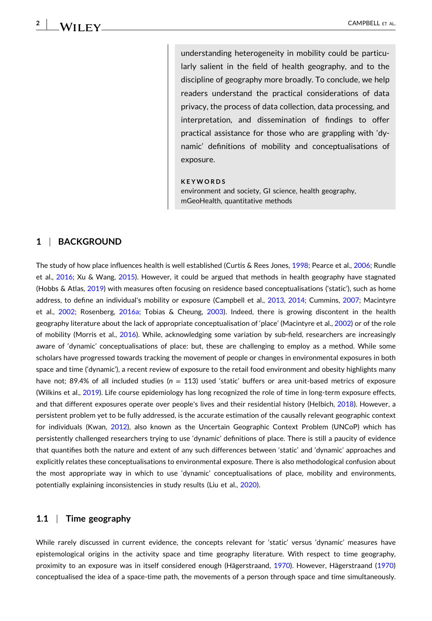**2**

understanding heterogeneity in mobility could be particularly salient in the field of health geography, and to the discipline of geography more broadly. To conclude, we help readers understand the practical considerations of data privacy, the process of data collection, data processing, and interpretation, and dissemination of findings to offer practical assistance for those who are grappling with 'dynamic' definitions of mobility and conceptualisations of exposure.

#### **KEYWORDS**

environment and society, GI science, health geography, mGeoHealth, quantitative methods

#### **1** <sup>|</sup> **BACKGROUND**

The study of how place influences health is well established (Curtis & Rees Jones, [1998](#page-14-0); Pearce et al., [2006;](#page-15-0) Rundle et al., [2016;](#page-15-0) Xu & Wang, [2015\)](#page-16-0). However, it could be argued that methods in health geography have stagnated (Hobbs & Atlas, [2019](#page-14-0)) with measures often focusing on residence based conceptualisations ('static'), such as home address, to define an individual's mobility or exposure (Campbell et al., [2013,](#page-13-0) [2014](#page-13-0); Cummins, [2007](#page-14-0); Macintyre et al., [2002;](#page-15-0) Rosenberg, [2016a](#page-15-0); Tobias & Cheung, [2003\)](#page-16-0). Indeed, there is growing discontent in the health geography literature about the lack of appropriate conceptualisation of 'place' (Macintyre et al., [2002\)](#page-15-0) or of the role of mobility (Morris et al., [2016\)](#page-15-0). While, acknowledging some variation by sub‐field, researchers are increasingly aware of 'dynamic' conceptualisations of place: but, these are challenging to employ as a method. While some scholars have progressed towards tracking the movement of people or changes in environmental exposures in both space and time ('dynamic'), a recent review of exposure to the retail food environment and obesity highlights many have not: 89.4% of all included studies ( $n = 113$ ) used 'static' buffers or area unit-based metrics of exposure (Wilkins et al., [2019](#page-16-0)). Life course epidemiology has long recognized the role of time in long‐term exposure effects, and that different exposures operate over people's lives and their residential history (Helbich, [2018](#page-14-0)). However, a persistent problem yet to be fully addressed, is the accurate estimation of the causally relevant geographic context for individuals (Kwan, [2012\)](#page-14-0), also known as the Uncertain Geographic Context Problem (UNCoP) which has persistently challenged researchers trying to use 'dynamic' definitions of place. There is still a paucity of evidence that quantifies both the nature and extent of any such differences between 'static' and 'dynamic' approaches and explicitly relates these conceptualisations to environmental exposure. There is also methodological confusion about the most appropriate way in which to use 'dynamic' conceptualisations of place, mobility and environments, potentially explaining inconsistencies in study results (Liu et al., [2020](#page-14-0)).

#### **1.1** <sup>|</sup> **Time geography**

While rarely discussed in current evidence, the concepts relevant for 'static' versus 'dynamic' measures have epistemological origins in the activity space and time geography literature. With respect to time geography, proximity to an exposure was in itself considered enough (Hägerstraand, [1970\)](#page-14-0). However, Hägerstraand [\(1970\)](#page-14-0) conceptualised the idea of a space‐time path, the movements of a person through space and time simultaneously.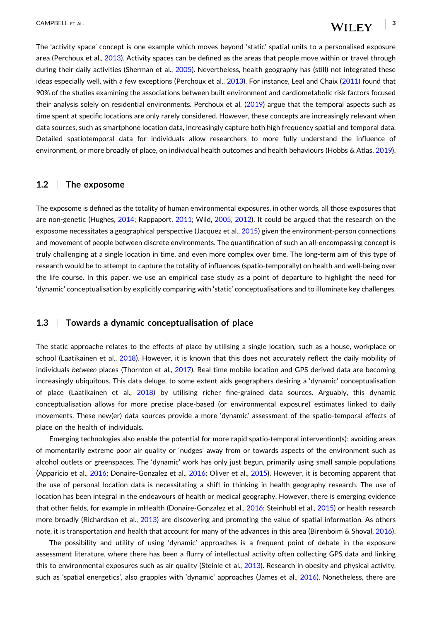The 'activity space' concept is one example which moves beyond 'static' spatial units to a personalised exposure area (Perchoux et al., [2013\)](#page-15-0). Activity spaces can be defined as the areas that people move within or travel through during their daily activities (Sherman et al., [2005](#page-15-0)). Nevertheless, health geography has (still) not integrated these ideas especially well, with a few exceptions (Perchoux et al., [2013](#page-15-0)). For instance, Leal and Chaix ([2011](#page-14-0)) found that 90% of the studies examining the associations between built environment and cardiometabolic risk factors focused their analysis solely on residential environments. Perchoux et al. ([2019](#page-15-0)) argue that the temporal aspects such as time spent at specific locations are only rarely considered. However, these concepts are increasingly relevant when data sources, such as smartphone location data, increasingly capture both high frequency spatial and temporal data. Detailed spatiotemporal data for individuals allow researchers to more fully understand the influence of environment, or more broadly of place, on individual health outcomes and health behaviours (Hobbs & Atlas, [2019](#page-14-0)).

#### **1.2** <sup>|</sup> **The exposome**

The exposome is defined as the totality of human environmental exposures, in other words, all those exposures that are non-genetic (Hughes, [2014;](#page-14-0) Rappaport, [2011](#page-15-0); Wild, [2005](#page-16-0), [2012](#page-16-0)). It could be argued that the research on the exposome necessitates a geographical perspective (Jacquez et al., [2015\)](#page-14-0) given the environment-person connections and movement of people between discrete environments. The quantification of such an all‐encompassing concept is truly challenging at a single location in time, and even more complex over time. The long‐term aim of this type of research would be to attempt to capture the totality of influences (spatio-temporally) on health and well-being over the life course. In this paper, we use an empirical case study as a point of departure to highlight the need for 'dynamic' conceptualisation by explicitly comparing with 'static' conceptualisations and to illuminate key challenges.

#### **1.3** <sup>|</sup> **Towards a dynamic conceptualisation of place**

The static approache relates to the effects of place by utilising a single location, such as a house, workplace or school (Laatikainen et al., [2018\)](#page-14-0). However, it is known that this does not accurately reflect the daily mobility of individuals *between* places (Thornton et al., [2017\)](#page-16-0). Real time mobile location and GPS derived data are becoming increasingly ubiquitous. This data deluge, to some extent aids geographers desiring a 'dynamic' conceptualisation of place (Laatikainen et al., [2018](#page-14-0)) by utilising richer fine‐grained data sources. Arguably, this dynamic conceptualisation allows for more precise place‐based (or environmental exposure) estimates linked to daily movements. These new(er) data sources provide a more 'dynamic' assessment of the spatio‐temporal effects of place on the health of individuals.

Emerging technologies also enable the potential for more rapid spatio-temporal intervention(s): avoiding areas of momentarily extreme poor air quality or 'nudges' away from or towards aspects of the environment such as alcohol outlets or greenspaces. The 'dynamic' work has only just begun, primarily using small sample populations (Apparicio et al., [2016;](#page-13-0) Donaire‐Gonzalez et al., [2016;](#page-14-0) Oliver et al., [2015](#page-15-0)). However, it is becoming apparent that the use of personal location data is necessitating a shift in thinking in health geography research. The use of location has been integral in the endeavours of health or medical geography. However, there is emerging evidence that other fields, for example in mHealth (Donaire‐Gonzalez et al., [2016](#page-14-0); Steinhubl et al., [2015\)](#page-15-0) or health research more broadly (Richardson et al., [2013\)](#page-15-0) are discovering and promoting the value of spatial information. As others note, it is transportation and health that account for many of the advances in this area (Birenboim & Shoval, [2016](#page-13-0)).

The possibility and utility of using 'dynamic' approaches is a frequent point of debate in the exposure assessment literature, where there has been a flurry of intellectual activity often collecting GPS data and linking this to environmental exposures such as air quality (Steinle et al., [2013](#page-16-0)). Research in obesity and physical activity, such as 'spatial energetics', also grapples with 'dynamic' approaches (James et al., [2016](#page-14-0)). Nonetheless, there are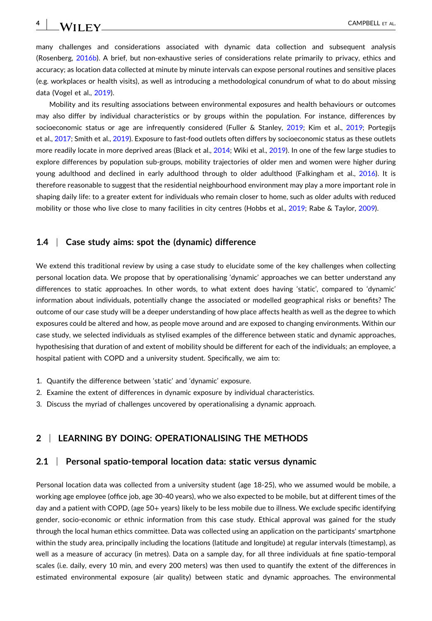many challenges and considerations associated with dynamic data collection and subsequent analysis (Rosenberg, [2016b](#page-15-0)). A brief, but non‐exhaustive series of considerations relate primarily to privacy, ethics and accuracy; as location data collected at minute by minute intervals can expose personal routines and sensitive places (e.g. workplaces or health visits), as well as introducing a methodological conundrum of what to do about missing data (Vogel et al., [2019](#page-16-0)).

Mobility and its resulting associations between environmental exposures and health behaviours or outcomes may also differ by individual characteristics or by groups within the population. For instance, differences by socioeconomic status or age are infrequently considered (Fuller & Stanley, [2019](#page-14-0); Kim et al., 2019; Portegijs et al., [2017;](#page-15-0) Smith et al., [2019](#page-15-0)). Exposure to fast-food outlets often differs by socioeconomic status as these outlets more readily locate in more deprived areas (Black et al., [2014](#page-13-0); Wiki et al., [2019\)](#page-16-0). In one of the few large studies to explore differences by population sub‐groups, mobility trajectories of older men and women were higher during young adulthood and declined in early adulthood through to older adulthood (Falkingham et al., [2016](#page-14-0)). It is therefore reasonable to suggest that the residential neighbourhood environment may play a more important role in shaping daily life: to a greater extent for individuals who remain closer to home, such as older adults with reduced mobility or those who live close to many facilities in city centres (Hobbs et al., [2019](#page-14-0); Rabe & Taylor, [2009\)](#page-15-0).

#### **1.4** <sup>|</sup> **Case study aims: spot the (dynamic) difference**

We extend this traditional review by using a case study to elucidate some of the key challenges when collecting personal location data. We propose that by operationalising 'dynamic' approaches we can better understand any differences to static approaches. In other words, to what extent does having 'static', compared to 'dynamic' information about individuals, potentially change the associated or modelled geographical risks or benefits? The outcome of our case study will be a deeper understanding of how place affects health as well as the degree to which exposures could be altered and how, as people move around and are exposed to changing environments. Within our case study, we selected individuals as stylised examples of the difference between static and dynamic approaches, hypothesising that duration of and extent of mobility should be different for each of the individuals; an employee, a hospital patient with COPD and a university student. Specifically, we aim to:

- 1. Quantify the difference between 'static' and 'dynamic' exposure.
- 2. Examine the extent of differences in dynamic exposure by individual characteristics.
- 3. Discuss the myriad of challenges uncovered by operationalising a dynamic approach.

#### **2** <sup>|</sup> **LEARNING BY DOING: OPERATIONALISING THE METHODS**

#### **2.1** <sup>|</sup> **Personal spatio‐temporal location data: static versus dynamic**

Personal location data was collected from a university student (age 18‐25), who we assumed would be mobile, a working age employee (office job, age 30‐40 years), who we also expected to be mobile, but at different times of the day and a patient with COPD, (age 50+ years) likely to be less mobile due to illness. We exclude specific identifying gender, socio‐economic or ethnic information from this case study. Ethical approval was gained for the study through the local human ethics committee. Data was collected using an application on the participants' smartphone within the study area, principally including the locations (latitude and longitude) at regular intervals (timestamp), as well as a measure of accuracy (in metres). Data on a sample day, for all three individuals at fine spatio‐temporal scales (i.e. daily, every 10 min, and every 200 meters) was then used to quantify the extent of the differences in estimated environmental exposure (air quality) between static and dynamic approaches. The environmental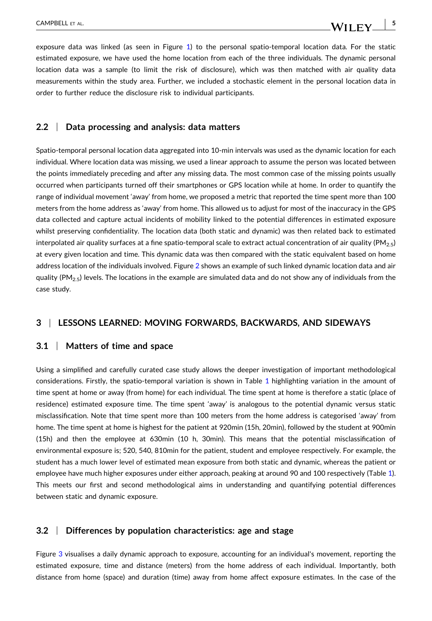- **5WILEY** 

exposure data was linked (as seen in Figure [1\)](#page-5-0) to the personal spatio-temporal location data. For the static estimated exposure, we have used the home location from each of the three individuals. The dynamic personal location data was a sample (to limit the risk of disclosure), which was then matched with air quality data measurements within the study area. Further, we included a stochastic element in the personal location data in order to further reduce the disclosure risk to individual participants.

#### **2.2** <sup>|</sup> **Data processing and analysis: data matters**

Spatio-temporal personal location data aggregated into 10-min intervals was used as the dynamic location for each individual. Where location data was missing, we used a linear approach to assume the person was located between the points immediately preceding and after any missing data. The most common case of the missing points usually occurred when participants turned off their smartphones or GPS location while at home. In order to quantify the range of individual movement 'away' from home, we proposed a metric that reported the time spent more than 100 meters from the home address as 'away' from home. This allowed us to adjust for most of the inaccuracy in the GPS data collected and capture actual incidents of mobility linked to the potential differences in estimated exposure whilst preserving confidentiality. The location data (both static and dynamic) was then related back to estimated interpolated air quality surfaces at a fine spatio-temporal scale to extract actual concentration of air quality ( $PM<sub>2.5</sub>$ ) at every given location and time. This dynamic data was then compared with the static equivalent based on home address location of the individuals involved. Figure [2](#page-6-0) shows an example of such linked dynamic location data and air quality (PM<sub>2.5</sub>) levels. The locations in the example are simulated data and do not show any of individuals from the case study.

#### **3** <sup>|</sup> **LESSONS LEARNED: MOVING FORWARDS, BACKWARDS, AND SIDEWAYS**

#### **3.1** <sup>|</sup> **Matters of time and space**

Using a simplified and carefully curated case study allows the deeper investigation of important methodological considerations. Firstly, the spatio-temporal variation is shown in Table [1](#page-7-0) highlighting variation in the amount of time spent at home or away (from home) for each individual. The time spent at home is therefore a static (place of residence) estimated exposure time. The time spent 'away' is analogous to the potential dynamic versus static misclassification. Note that time spent more than 100 meters from the home address is categorised 'away' from home. The time spent at home is highest for the patient at 920min (15h, 20min), followed by the student at 900min (15h) and then the employee at 630min (10 h, 30min). This means that the potential misclassification of environmental exposure is; 520, 540, 810min for the patient, student and employee respectively. For example, the student has a much lower level of estimated mean exposure from both static and dynamic, whereas the patient or employee have much higher exposures under either approach, peaking at around 90 and 100 respectively (Table [1](#page-7-0)). This meets our first and second methodological aims in understanding and quantifying potential differences between static and dynamic exposure.

#### **3.2** <sup>|</sup> **Differences by population characteristics: age and stage**

Figure [3](#page-8-0) visualises a daily dynamic approach to exposure, accounting for an individual's movement, reporting the estimated exposure, time and distance (meters) from the home address of each individual. Importantly, both distance from home (space) and duration (time) away from home affect exposure estimates. In the case of the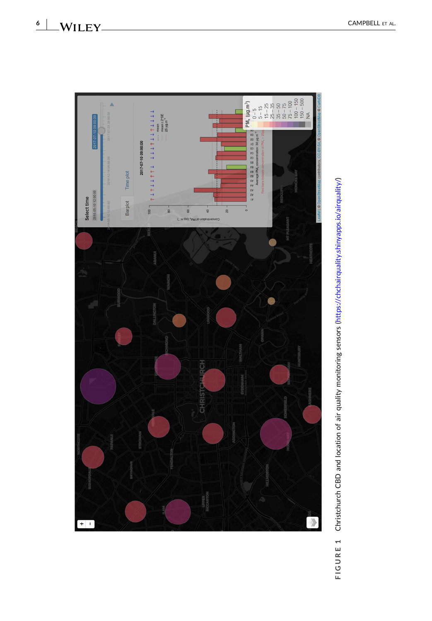<span id="page-5-0"></span>

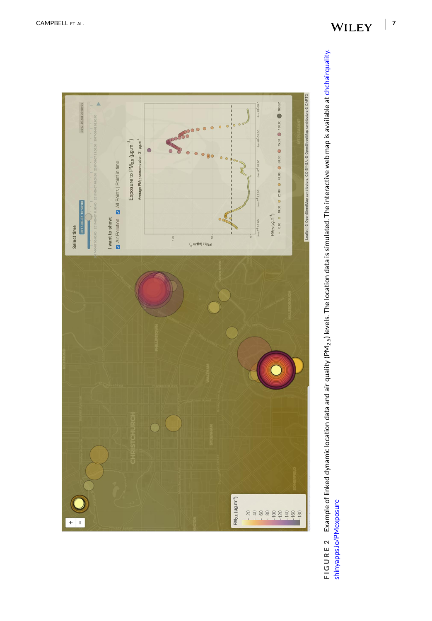<span id="page-6-0"></span>

FIGURE 2 Example of linked dynamic location data and air quality (PM<sub>2.5</sub>) levels. The location data is simulated. The interactive web map is available at chchairquality. **FIGURE 2** Example of linked dynamic location data and air quality (PM2.5) levels. The location data is simulated. The interactive web map is available at [chchairquality.](http://chchairquality.shinyapps.io/pmexposure) shinyapps.io/PMexposure [shinyapps.io/PMexposure](http://chchairquality.shinyapps.io/pmexposure)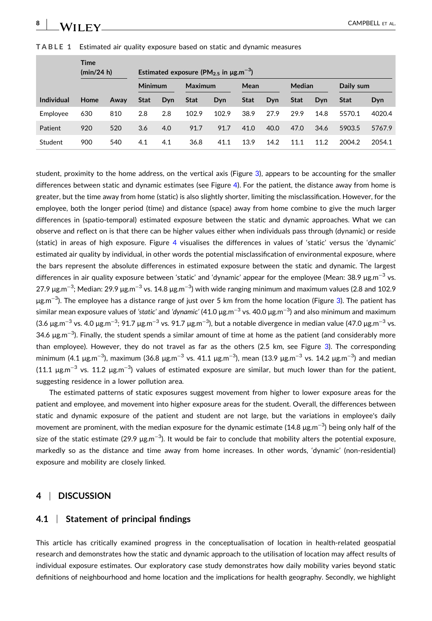## $\mathbf{W}$  **II**  $\mathbf{F} \mathbf{Y}$  campbell et al.

|                   | <b>Time</b><br>(min/24 h) |      | Estimated exposure (PM <sub>25</sub> in $\mu$ g.m <sup>-3</sup> ) |     |             |       |      |      |             |      |             |        |
|-------------------|---------------------------|------|-------------------------------------------------------------------|-----|-------------|-------|------|------|-------------|------|-------------|--------|
|                   |                           |      | <b>Minimum</b>                                                    |     | Maximum     |       | Mean |      | Median      |      | Daily sum   |        |
| <b>Individual</b> | Home                      | Away | Stat                                                              | Dyn | <b>Stat</b> | Dyn   | Stat | Dyn  | <b>Stat</b> | Dvn  | <b>Stat</b> | Dyn    |
| Employee          | 630                       | 810  | 2.8                                                               | 2.8 | 102.9       | 102.9 | 38.9 | 27.9 | 29.9        | 14.8 | 5570.1      | 4020.4 |
| Patient           | 920                       | 520  | 3.6                                                               | 4.0 | 91.7        | 91.7  | 41.0 | 40.0 | 47.0        | 34.6 | 5903.5      | 5767.9 |
| Student           | 900                       | 540  | 4.1                                                               | 4.1 | 36.8        | 41.1  | 13.9 | 14.2 | 11.1        | 11.2 | 2004.2      | 2054.1 |

**TABLE 1** Estimated air quality exposure based on static and dynamic measures

student, proximity to the home address, on the vertical axis (Figure [3\)](#page-8-0), appears to be accounting for the smaller differences between static and dynamic estimates (see Figure [4](#page-9-0)). For the patient, the distance away from home is greater, but the time away from home (static) is also slightly shorter, limiting the misclassification. However, for the employee, both the longer period (time) and distance (space) away from home combine to give the much larger differences in (spatio-temporal) estimated exposure between the static and dynamic approaches. What we can observe and reflect on is that there can be higher values either when individuals pass through (dynamic) or reside (static) in areas of high exposure. Figure [4](#page-9-0) visualises the differences in values of 'static' versus the 'dynamic' estimated air quality by individual, in other words the potential misclassification of environmental exposure, where the bars represent the absolute differences in estimated exposure between the static and dynamic. The largest differences in air quality exposure between 'static' and 'dynamic' appear for the employee (Mean: 38.9 μg.m−<sup>3</sup> vs. 27.9 μg.m<sup>−3</sup>; Median: 29.9 μg.m<sup>−3</sup> vs. 14.8 μg.m<sup>−3</sup>) with wide ranging minimum and maximum values (2.8 and 102.9 μg.m−<sup>3</sup> ). The employee has a distance range of just over 5 km from the home location (Figure [3](#page-8-0)). The patient has similar mean exposure values of *'static'* and *'dynamic'* (41.0 μg.m−<sup>3</sup> vs. 40.0 μg.m−<sup>3</sup> ) and also minimum and maximum (3.6 μg.m<sup>−3</sup> vs. 4.0 μg.m<sup>−3</sup>; 91.7 μg.m<sup>−3</sup> vs. 91.7 μg.m<sup>−3</sup>), but a notable divergence in median value (47.0 μg.m<sup>−3</sup> vs. 34.6 µg.m<sup>−3</sup>). Finally, the student spends a similar amount of time at home as the patient (and considerably more than employee). However, they do not travel as far as the others (2.5 km, see Figure [3\)](#page-8-0). The corresponding minimum (4.1 μg.m<sup>−3</sup>), maximum (36.8 μg.m<sup>−3</sup> vs. 41.1 μg.m<sup>−3</sup>), mean (13.9 μg.m<sup>−3</sup> vs. 14.2 μg.m<sup>−3</sup>) and median (11.1 μg.m<sup>-3</sup> vs. 11.2 μg.m<sup>-3</sup>) values of estimated exposure are similar, but much lower than for the patient, suggesting residence in a lower pollution area.

The estimated patterns of static exposures suggest movement from higher to lower exposure areas for the patient and employee, and movement into higher exposure areas for the student. Overall, the differences between static and dynamic exposure of the patient and student are not large, but the variations in employee's daily movement are prominent, with the median exposure for the dynamic estimate (14.8  $\mu$ g.m<sup>−3</sup>) being only half of the size of the static estimate (29.9 μg.m<sup>-3</sup>). It would be fair to conclude that mobility alters the potential exposure, markedly so as the distance and time away from home increases. In other words, 'dynamic' (non‐residential) exposure and mobility are closely linked.

#### **4** <sup>|</sup> **DISCUSSION**

#### **4.1** <sup>|</sup> **Statement of principal findings**

This article has critically examined progress in the conceptualisation of location in health‐related geospatial research and demonstrates how the static and dynamic approach to the utilisation of location may affect results of individual exposure estimates. Our exploratory case study demonstrates how daily mobility varies beyond static definitions of neighbourhood and home location and the implications for health geography. Secondly, we highlight

<span id="page-7-0"></span>**8**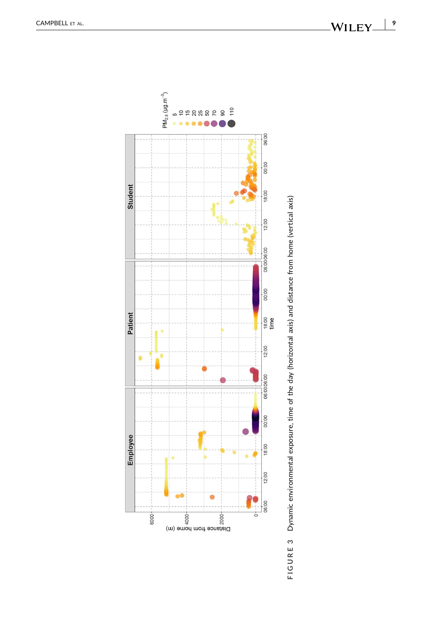<span id="page-8-0"></span>

FIGURE 3 Dynamic environmental exposure, time of the day (horizontal axis) and distance from home (vertical axis) **FIGURE 3** Dynamic environmental exposure, time of the day (horizontal axis) and distance from home (vertical axis)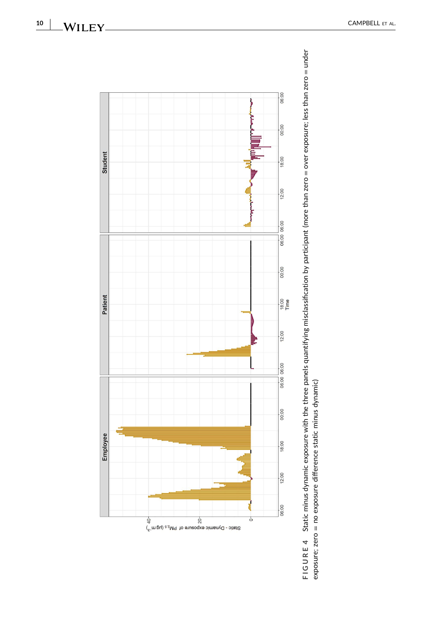



<span id="page-9-0"></span> $-WILEY$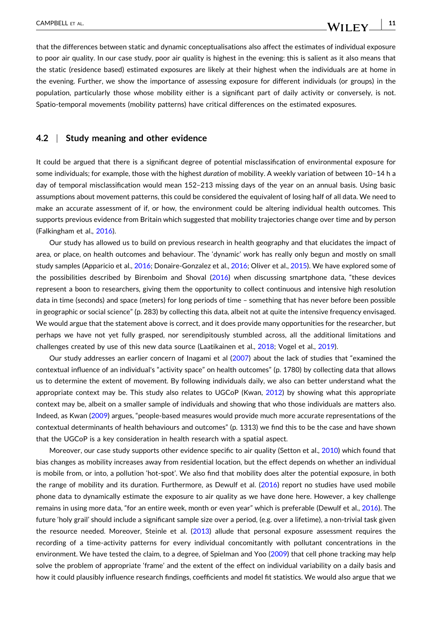that the differences between static and dynamic conceptualisations also affect the estimates of individual exposure to poor air quality. In our case study, poor air quality is highest in the evening: this is salient as it also means that the static (residence based) estimated exposures are likely at their highest when the individuals are at home in the evening. Further, we show the importance of assessing exposure for different individuals (or groups) in the population, particularly those whose mobility either is a significant part of daily activity or conversely, is not. Spatio‐temporal movements (mobility patterns) have critical differences on the estimated exposures.

#### **4.2** <sup>|</sup> **Study meaning and other evidence**

It could be argued that there is a significant degree of potential misclassification of environmental exposure for some individuals; for example, those with the highest *duration* of mobility. A weekly variation of between 10–14 h a day of temporal misclassification would mean 152–213 missing days of the year on an annual basis. Using basic assumptions about movement patterns, this could be considered the equivalent of losing half of all data. We need to make an accurate assessment of if, or how, the environment could be altering individual health outcomes. This supports previous evidence from Britain which suggested that mobility trajectories change over time and by person (Falkingham et al., [2016](#page-14-0)).

Our study has allowed us to build on previous research in health geography and that elucidates the impact of area, or place, on health outcomes and behaviour. The 'dynamic' work has really only begun and mostly on small study samples (Apparicio et al., [2016](#page-13-0); Donaire‐Gonzalez et al., [2016;](#page-14-0) Oliver et al., [2015\)](#page-15-0). We have explored some of the possibilities described by Birenboim and Shoval ([2016](#page-13-0)) when discussing smartphone data, "these devices represent a boon to researchers, giving them the opportunity to collect continuous and intensive high resolution data in time (seconds) and space (meters) for long periods of time – something that has never before been possible in geographic or social science" (p. 283) by collecting this data, albeit not at quite the intensive frequency envisaged. We would argue that the statement above is correct, and it does provide many opportunities for the researcher, but perhaps we have not yet fully grasped, nor serendipitously stumbled across, all the additional limitations and challenges created by use of this new data source (Laatikainen et al., [2018;](#page-14-0) Vogel et al., [2019](#page-16-0)).

Our study addresses an earlier concern of Inagami et al ([2007](#page-14-0)) about the lack of studies that "examined the contextual influence of an individual's "activity space" on health outcomes" (p. 1780) by collecting data that allows us to determine the extent of movement. By following individuals daily, we also can better understand what the appropriate context may be. This study also relates to UGCoP (Kwan, [2012\)](#page-14-0) by showing what this appropriate context may be, albeit on a smaller sample of individuals and showing that who those individuals are matters also. Indeed, as Kwan [\(2009\)](#page-14-0) argues, "people‐based measures would provide much more accurate representations of the contextual determinants of health behaviours and outcomes" (p. 1313) we find this to be the case and have shown that the UGCoP is a key consideration in health research with a spatial aspect.

Moreover, our case study supports other evidence specific to air quality (Setton et al., [2010](#page-15-0)) which found that bias changes as mobility increases away from residential location, but the effect depends on whether an individual is mobile from, or into, a pollution 'hot‐spot'. We also find that mobility does alter the potential exposure, in both the range of mobility and its duration. Furthermore, as Dewulf et al. ([2016](#page-14-0)) report no studies have used mobile phone data to dynamically estimate the exposure to air quality as we have done here. However, a key challenge remains in using more data, "for an entire week, month or even year" which is preferable (Dewulf et al., [2016\)](#page-14-0). The future 'holy grail' should include a significant sample size over a period, (e.g. over a lifetime), a non‐trivial task given the resource needed. Moreover, Steinle et al. [\(2013\)](#page-16-0) allude that personal exposure assessment requires the recording of a time‐activity patterns for every individual concomitantly with pollutant concentrations in the environment. We have tested the claim, to a degree, of Spielman and Yoo ([2009](#page-15-0)) that cell phone tracking may help solve the problem of appropriate 'frame' and the extent of the effect on individual variability on a daily basis and how it could plausibly influence research findings, coefficients and model fit statistics. We would also argue that we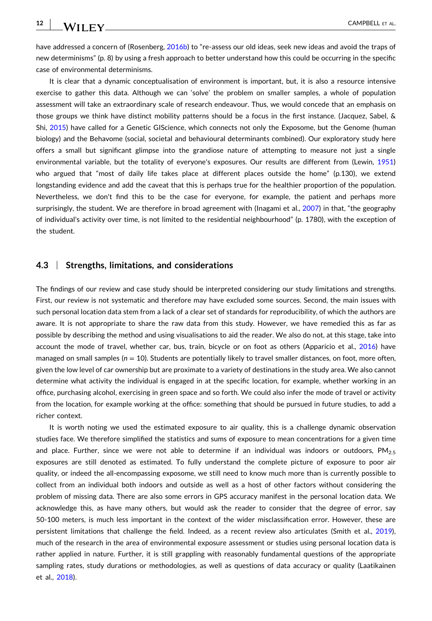**12**

have addressed a concern of (Rosenberg, [2016b](#page-15-0)) to "re-assess our old ideas, seek new ideas and avoid the traps of new determinisms" (p. 8) by using a fresh approach to better understand how this could be occurring in the specific case of environmental determinisms.

It is clear that a dynamic conceptualisation of environment is important, but, it is also a resource intensive exercise to gather this data. Although we can 'solve' the problem on smaller samples, a whole of population assessment will take an extraordinary scale of research endeavour. Thus, we would concede that an emphasis on those groups we think have distinct mobility patterns should be a focus in the first instance. (Jacquez, Sabel, & Shi, [2015](#page-14-0)) have called for a Genetic GIScience, which connects not only the Exposome, but the Genome (human biology) and the Behavome (social, societal and behavioural determinants combined). Our exploratory study here offers a small but significant glimpse into the grandiose nature of attempting to measure not just a single environmental variable, but the totality of everyone's exposures. Our results are different from (Lewin, [1951\)](#page-14-0) who argued that "most of daily life takes place at different places outside the home" (p.130), we extend longstanding evidence and add the caveat that this is perhaps true for the healthier proportion of the population. Nevertheless, we don't find this to be the case for everyone, for example, the patient and perhaps more surprisingly, the student. We are therefore in broad agreement with (Inagami et al., [2007\)](#page-14-0) in that, "the geography of individual's activity over time, is not limited to the residential neighbourhood" (p. 1780), with the exception of the student.

#### **4.3** <sup>|</sup> **Strengths, limitations, and considerations**

The findings of our review and case study should be interpreted considering our study limitations and strengths. First, our review is not systematic and therefore may have excluded some sources. Second, the main issues with such personal location data stem from a lack of a clear set of standards for reproducibility, of which the authors are aware. It is not appropriate to share the raw data from this study. However, we have remedied this as far as possible by describing the method and using visualisations to aid the reader. We also do not, at this stage, take into account the mode of travel, whether car, bus, train, bicycle or on foot as others (Apparicio et al., [2016\)](#page-13-0) have managed on small samples ( $n = 10$ ). Students are potentially likely to travel smaller distances, on foot, more often, given the low level of car ownership but are proximate to a variety of destinations in the study area. We also cannot determine what activity the individual is engaged in at the specific location, for example, whether working in an office, purchasing alcohol, exercising in green space and so forth. We could also infer the mode of travel or activity from the location, for example working at the office: something that should be pursued in future studies, to add a richer context.

It is worth noting we used the estimated exposure to air quality, this is a challenge dynamic observation studies face. We therefore simplified the statistics and sums of exposure to mean concentrations for a given time and place. Further, since we were not able to determine if an individual was indoors or outdoors, PM<sub>2.5</sub> exposures are still denoted as estimated. To fully understand the complete picture of exposure to poor air quality, or indeed the all‐encompassing exposome, we still need to know much more than is currently possible to collect from an individual both indoors and outside as well as a host of other factors without considering the problem of missing data. There are also some errors in GPS accuracy manifest in the personal location data. We acknowledge this, as have many others, but would ask the reader to consider that the degree of error, say 50‐100 meters, is much less important in the context of the wider misclassification error. However, these are persistent limitations that challenge the field. Indeed, as a recent review also articulates (Smith et al., [2019](#page-15-0)), much of the research in the area of environmental exposure assessment or studies using personal location data is rather applied in nature. Further, it is still grappling with reasonably fundamental questions of the appropriate sampling rates, study durations or methodologies, as well as questions of data accuracy or quality (Laatikainen et al., [2018\)](#page-14-0).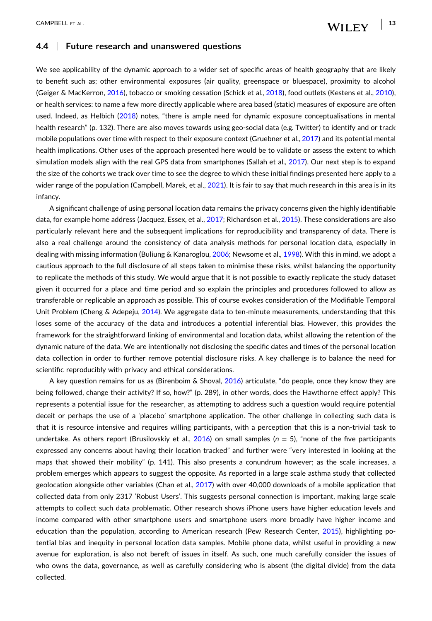#### **4.4** <sup>|</sup> **Future research and unanswered questions**

We see applicability of the dynamic approach to a wider set of specific areas of health geography that are likely to benefit such as; other environmental exposures (air quality, greenspace or bluespace), proximity to alcohol (Geiger & MacKerron, [2016\)](#page-14-0), tobacco or smoking cessation (Schick et al., [2018](#page-15-0)), food outlets (Kestens et al., [2010](#page-14-0)), or health services: to name a few more directly applicable where area based (static) measures of exposure are often used. Indeed, as Helbich ([2018](#page-14-0)) notes, "there is ample need for dynamic exposure conceptualisations in mental health research" (p. 132). There are also moves towards using geo-social data (e.g. Twitter) to identify and or track mobile populations over time with respect to their exposure context (Gruebner et al., [2017](#page-14-0)) and its potential mental health implications. Other uses of the approach presented here would be to validate or assess the extent to which simulation models align with the real GPS data from smartphones (Sallah et al., [2017](#page-15-0)). Our next step is to expand the size of the cohorts we track over time to see the degree to which these initial findings presented here apply to a wider range of the population (Campbell, Marek, et al., [2021](#page-13-0)). It is fair to say that much research in this area is in its infancy.

A significant challenge of using personal location data remains the privacy concerns given the highly identifiable data, for example home address (Jacquez, Essex, et al., [2017](#page-14-0); Richardson et al., [2015\)](#page-15-0). These considerations are also particularly relevant here and the subsequent implications for reproducibility and transparency of data. There is also a real challenge around the consistency of data analysis methods for personal location data, especially in dealing with missing information (Buliung & Kanaroglou, [2006;](#page-13-0) Newsome et al., [1998](#page-15-0)). With this in mind, we adopt a cautious approach to the full disclosure of all steps taken to minimise these risks, whilst balancing the opportunity to replicate the methods of this study. We would argue that it is not possible to exactly replicate the study dataset given it occurred for a place and time period and so explain the principles and procedures followed to allow as transferable or replicable an approach as possible. This of course evokes consideration of the Modifiable Temporal Unit Problem (Cheng & Adepeju, [2014\)](#page-13-0). We aggregate data to ten-minute measurements, understanding that this loses some of the accuracy of the data and introduces a potential inferential bias. However, this provides the framework for the straightforward linking of environmental and location data, whilst allowing the retention of the dynamic nature of the data. We are intentionally not disclosing the specific dates and times of the personal location data collection in order to further remove potential disclosure risks. A key challenge is to balance the need for scientific reproducibly with privacy and ethical considerations.

A key question remains for us as (Birenboim & Shoval, [2016](#page-13-0)) articulate, "do people, once they know they are being followed, change their activity? If so, how?" (p. 289), in other words, does the Hawthorne effect apply? This represents a potential issue for the researcher, as attempting to address such a question would require potential deceit or perhaps the use of a 'placebo' smartphone application. The other challenge in collecting such data is that it is resource intensive and requires willing participants, with a perception that this is a non‐trivial task to undertake. As others report (Brusilovskiy et al., [2016\)](#page-13-0) on small samples (*n* = 5), "none of the five participants expressed any concerns about having their location tracked" and further were "very interested in looking at the maps that showed their mobility" (p. 141). This also presents a conundrum however; as the scale increases, a problem emerges which appears to suggest the opposite. As reported in a large scale asthma study that collected geolocation alongside other variables (Chan et al., [2017](#page-13-0)) with over 40,000 downloads of a mobile application that collected data from only 2317 'Robust Users'. This suggests personal connection is important, making large scale attempts to collect such data problematic. Other research shows iPhone users have higher education levels and income compared with other smartphone users and smartphone users more broadly have higher income and education than the population, according to American research (Pew Research Center, [2015](#page-15-0)), highlighting potential bias and inequity in personal location data samples. Mobile phone data, whilst useful in providing a new avenue for exploration, is also not bereft of issues in itself. As such, one much carefully consider the issues of who owns the data, governance, as well as carefully considering who is absent (the digital divide) from the data collected.

WILEY\_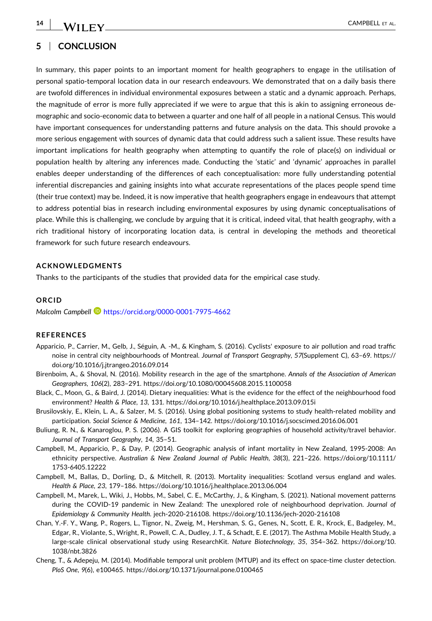$-$  CAMPBELL ET AL.

<span id="page-13-0"></span>**14**

#### **5** <sup>|</sup> **CONCLUSION**

In summary, this paper points to an important moment for health geographers to engage in the utilisation of personal spatio‐temporal location data in our research endeavours. We demonstrated that on a daily basis there are twofold differences in individual environmental exposures between a static and a dynamic approach. Perhaps, the magnitude of error is more fully appreciated if we were to argue that this is akin to assigning erroneous demographic and socio‐economic data to between a quarter and one half of all people in a national Census. This would have important consequences for understanding patterns and future analysis on the data. This should provoke a more serious engagement with sources of dynamic data that could address such a salient issue. These results have important implications for health geography when attempting to quantify the role of place(s) on individual or population health by altering any inferences made. Conducting the 'static' and 'dynamic' approaches in parallel enables deeper understanding of the differences of each conceptualisation: more fully understanding potential inferential discrepancies and gaining insights into what accurate representations of the places people spend time (their true context) may be. Indeed, it is now imperative that health geographers engage in endeavours that attempt to address potential bias in research including environmental exposures by using dynamic conceptualisations of place. While this is challenging, we conclude by arguing that it is critical, indeed vital, that health geography, with a rich traditional history of incorporating location data, is central in developing the methods and theoretical framework for such future research endeavours.

#### **ACKNOWLEDGMENTS**

Thanks to the participants of the studies that provided data for the empirical case study.

#### **ORCID**

*Malcolm Campbell* <https://orcid.org/0000-0001-7975-4662>

#### **REFERENCES**

- Apparicio, P., Carrier, M., Gelb, J., Séguin, A. ‐M., & Kingham, S. (2016). Cyclists' exposure to air pollution and road traffic noise in central city neighbourhoods of Montreal. *Journal of Transport Geography*, *57*(Supplement C), 63–69. [https://](https://doi.org/10.1016/j.jtrangeo.2016.09.014) [doi.org/10.1016/j.jtrangeo.2016.09.014](https://doi.org/10.1016/j.jtrangeo.2016.09.014)
- Birenboim, A., & Shoval, N. (2016). Mobility research in the age of the smartphone. *Annals of the Association of American Geographers*, *106*(2), 283–291. <https://doi.org/10.1080/00045608.2015.1100058>
- Black, C., Moon, G., & Baird, J. (2014). Dietary inequalities: What is the evidence for the effect of the neighbourhood food environment? *Health & Place*, *13*, 131. <https://doi.org/10.1016/j.healthplace.2013.09.015i>
- Brusilovskiy, E., Klein, L. A., & Salzer, M. S. (2016). Using global positioning systems to study health‐related mobility and participation. *Social Science & Medicine*, *161*, 134–142. <https://doi.org/10.1016/j.socscimed.2016.06.001>
- Buliung, R. N., & Kanaroglou, P. S. (2006). A GIS toolkit for exploring geographies of household activity/travel behavior. *Journal of Transport Geography*, *14*, 35–51.
- Campbell, M., Apparicio, P., & Day, P. (2014). Geographic analysis of infant mortality in New Zealand, 1995‐2008: An ethnicity perspective. *Australian & New Zealand Journal of Public Health*, *38*(3), 221–226. [https://doi.org/10.1111/](https://doi.org/10.1111/1753-6405.12222) 1753‐[6405.12222](https://doi.org/10.1111/1753-6405.12222)
- Campbell, M., Ballas, D., Dorling, D., & Mitchell, R. (2013). Mortality inequalities: Scotland versus england and wales. *Health & Place*, *23*, 179–186. <https://doi.org/10.1016/j.healthplace.2013.06.004>
- Campbell, M., Marek, L., Wiki, J., Hobbs, M., Sabel, C. E., McCarthy, J., & Kingham, S. (2021). National movement patterns during the COVID‐19 pandemic in New Zealand: The unexplored role of neighbourhood deprivation. *Journal of Epidemiology & Community Health*. jech‐2020‐216108. [https://doi.org/10.1136/jech](https://doi.org/10.1136/jech-2020-216108)‐2020‐216108
- Chan, Y.‐F. Y., Wang, P., Rogers, L., Tignor, N., Zweig, M., Hershman, S. G., Genes, N., Scott, E. R., Krock, E., Badgeley, M., Edgar, R., Violante, S., Wright, R., Powell, C. A., Dudley, J. T., & Schadt, E. E. (2017). The Asthma Mobile Health Study, a large‐scale clinical observational study using ResearchKit. *Nature Biotechnology*, *35*, 354–362. [https://doi.org/10.](https://doi.org/10.1038/nbt.3826) [1038/nbt.3826](https://doi.org/10.1038/nbt.3826)
- Cheng, T., & Adepeju, M. (2014). Modifiable temporal unit problem (MTUP) and its effect on space‐time cluster detection. *PloS One*, *9*(6), e100465. <https://doi.org/10.1371/journal.pone.0100465>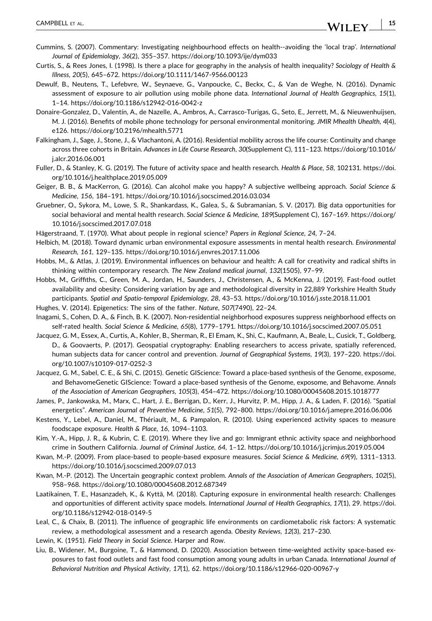- **15**

- <span id="page-14-0"></span>Cummins, S. (2007). Commentary: Investigating neighbourhood effects on health‐‐avoiding the 'local trap'. *International Journal of Epidemiology*, *36*(2), 355–357. <https://doi.org/10.1093/ije/dym033>
- Curtis, S., & Rees Jones, I. (1998). Is there a place for geography in the analysis of health inequality? *Sociology of Health & Illness*, *20*(5), 645–672. [https://doi.org/10.1111/1467](https://doi.org/10.1111/1467-9566.00123)‐9566.00123
- Dewulf, B., Neutens, T., Lefebvre, W., Seynaeve, G., Vanpoucke, C., Beckx, C., & Van de Weghe, N. (2016). Dynamic assessment of exposure to air pollution using mobile phone data. *International Journal of Health Geographics*, *15*(1), 1–14. [https://doi.org/10.1186/s12942](https://doi.org/10.1186/s12942-016-0042-z)‐016‐0042‐z
- Donaire‐Gonzalez, D., Valentín, A., de Nazelle, A., Ambros, A., Carrasco‐Turigas, G., Seto, E., Jerrett, M., & Nieuwenhuijsen, M. J. (2016). Benefits of mobile phone technology for personal environmental monitoring. *JMIR Mhealth Uhealth*, *4*(4), e126. <https://doi.org/10.2196/mhealth.5771>
- Falkingham, J., Sage, J., Stone, J., & Vlachantoni, A. (2016). Residential mobility across the life course: Continuity and change across three cohorts in Britain. *Advances in Life Course Research*, *30*(Supplement C), 111–123. [https://doi.org/10.1016/](https://doi.org/10.1016/j.alcr.2016.06.001) [j.alcr.2016.06.001](https://doi.org/10.1016/j.alcr.2016.06.001)
- Fuller, D., & Stanley, K. G. (2019). The future of activity space and health research. *Health & Place*, *58*, 102131. [https://doi.](https://doi.org/10.1016/j.healthplace.2019.05.009) [org/10.1016/j.healthplace.2019.05.009](https://doi.org/10.1016/j.healthplace.2019.05.009)
- Geiger, B. B., & MacKerron, G. (2016). Can alcohol make you happy? A subjective wellbeing approach. *Social Science & Medicine*, *156*, 184–191. <https://doi.org/10.1016/j.socscimed.2016.03.034>
- Gruebner, O., Sykora, M., Lowe, S. R., Shankardass, K., Galea, S., & Subramanian, S. V. (2017). Big data opportunities for social behavioral and mental health research. *Social Science & Medicine*, *189*(Supplement C), 167–169. [https://doi.org/](https://doi.org/10.1016/j.socscimed.2017.07.018) [10.1016/j.socscimed.2017.07.018](https://doi.org/10.1016/j.socscimed.2017.07.018)
- Hägerstraand, T. (1970). What about people in regional science? *Papers in Regional Science*, *24*, 7–24.
- Helbich, M. (2018). Toward dynamic urban environmental exposure assessments in mental health research. *Environmental Research*, *161*, 129–135. <https://doi.org/10.1016/j.envres.2017.11.006>
- Hobbs, M., & Atlas, J. (2019). Environmental influences on behaviour and health: A call for creativity and radical shifts in thinking within contemporary research. *The New Zealand medical journal*, *132*(1505), 97–99.
- Hobbs, M., Griffiths, C., Green, M. A., Jordan, H., Saunders, J., Christensen, A., & McKenna, J. (2019). Fast‐food outlet availability and obesity: Considering variation by age and methodological diversity in 22,889 Yorkshire Health Study participants. *Spatial and Spatio‐temporal Epidemiology*, *28*, 43–53. <https://doi.org/10.1016/j.sste.2018.11.001>
- Hughes, V. (2014). Epigenetics: The sins of the father. *Nature*, *507*(7490), 22–24.
- Inagami, S., Cohen, D. A., & Finch, B. K. (2007). Non‐residential neighborhood exposures suppress neighborhood effects on self‐rated health. *Social Science & Medicine*, *65*(8), 1779–1791. <https://doi.org/10.1016/j.socscimed.2007.05.051>
- Jacquez, G. M., Essex, A., Curtis, A., Kohler, B., Sherman, R., El Emam, K., Shi, C., Kaufmann, A., Beale, L., Cusick, T., Goldberg, D., & Goovaerts, P. (2017). Geospatial cryptography: Enabling researchers to access private, spatially referenced, human subjects data for cancer control and prevention. *Journal of Geographical Systems*, *19*(3), 197–220. [https://doi.](https://doi.org/10.1007/s10109-017-0252-3) [org/10.1007/s10109](https://doi.org/10.1007/s10109-017-0252-3)‐017‐0252‐3
- Jacquez, G. M., Sabel, C. E., & Shi, C. (2015). Genetic GIScience: Toward a place‐based synthesis of the Genome, exposome, and BehavomeGenetic GIScience: Toward a place‐based synthesis of the Genome, exposome, and Behavome. *Annals of the Association of American Geographers*, *105*(3), 454–472. <https://doi.org/10.1080/00045608.2015.1018777>
- James, P., Jankowska, M., Marx, C., Hart, J. E., Berrigan, D., Kerr, J., Hurvitz, P. M., Hipp, J. A., & Laden, F. (2016). "Spatial energetics". *American Journal of Preventive Medicine*, *51*(5), 792–800. <https://doi.org/10.1016/j.amepre.2016.06.006>
- Kestens, Y., Lebel, A., Daniel, M., Thériault, M., & Pampalon, R. (2010). Using experienced activity spaces to measure foodscape exposure. *Health & Place*, *16*, 1094–1103.
- Kim, Y.‐A., Hipp, J. R., & Kubrin, C. E. (2019). Where they live and go: Immigrant ethnic activity space and neighborhood crime in Southern California. *Journal of Criminal Justice*, *64*, 1–12. <https://doi.org/10.1016/j.jcrimjus.2019.05.004>
- Kwan, M.‐P. (2009). From place‐based to people‐based exposure measures. *Social Science & Medicine*, *69*(9), 1311–1313. <https://doi.org/10.1016/j.socscimed.2009.07.013>
- Kwan, M.‐P. (2012). The Uncertain geographic context problem. *Annals of the Association of American Geographers*, *102*(5), 958–968. <https://doi.org/10.1080/00045608.2012.687349>
- Laatikainen, T. E., Hasanzadeh, K., & Kyttä, M. (2018). Capturing exposure in environmental health research: Challenges and opportunities of different activity space models. *International Journal of Health Geographics*, *17*(1), 29. [https://doi.](https://doi.org/10.1186/s12942-018-0149-5) [org/10.1186/s12942](https://doi.org/10.1186/s12942-018-0149-5)‐018‐0149‐5
- Leal, C., & Chaix, B. (2011). The influence of geographic life environments on cardiometabolic risk factors: A systematic review, a methodological assessment and a research agenda. *Obesity Reviews*, *12*(3), 217–230.
- Lewin, K. (1951). *Field Theory in Social Science*. Harper and Row.
- Liu, B., Widener, M., Burgoine, T., & Hammond, D. (2020). Association between time-weighted activity space-based exposures to fast food outlets and fast food consumption among young adults in urban Canada. *International Journal of Behavioral Nutrition and Physical Activity*, *17*(1), 62. [https://doi.org/10.1186/s12966](https://doi.org/10.1186/s12966-020-00967-y)‐020‐00967‐y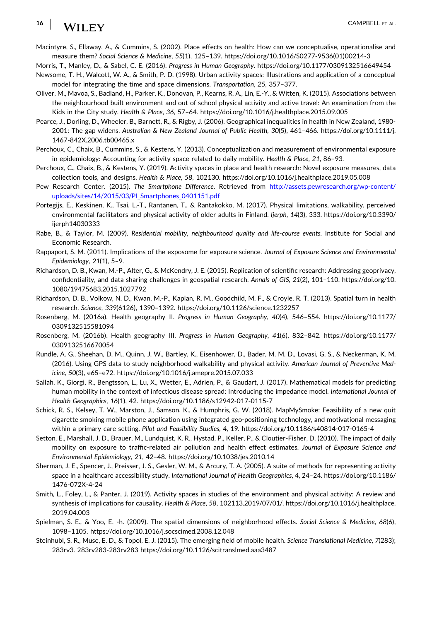#### <span id="page-15-0"></span>**16 WILEY** CAMPBELL ET AL.

- Macintyre, S., Ellaway, A., & Cummins, S. (2002). Place effects on health: How can we conceptualise, operationalise and measure them? *Social Science & Medicine*, *55*(1), 125–139. [https://doi.org/10.1016/S0277](https://doi.org/10.1016/S0277-9536(01)00214-3)‐9536(01)00214‐3
- Morris, T., Manley, D., & Sabel, C. E. (2016). *Progress in Human Geography*. <https://doi.org/10.1177/0309132516649454>
- Newsome, T. H., Walcott, W. A., & Smith, P. D. (1998). Urban activity spaces: Illustrations and application of a conceptual model for integrating the time and space dimensions. *Transportation*, *25*, 357–377.
- Oliver, M., Mavoa, S., Badland, H., Parker, K., Donovan, P., Kearns, R. A., Lin, E.‐Y., & Witten, K. (2015). Associations between the neighbourhood built environment and out of school physical activity and active travel: An examination from the Kids in the City study. *Health & Place*, *36*, 57–64. <https://doi.org/10.1016/j.healthplace.2015.09.005>
- Pearce, J., Dorling, D., Wheeler, B., Barnett, R., & Rigby, J. (2006). Geographical inequalities in health in New Zealand, 1980‐ 2001: The gap widens. *Australian & New Zealand Journal of Public Health*, *30*(5), 461–466. [https://doi.org/10.1111/j.](https://doi.org/10.1111/j.1467-842X.2006.tb00465.x) 1467‐[842X.2006.tb00465.x](https://doi.org/10.1111/j.1467-842X.2006.tb00465.x)
- Perchoux, C., Chaix, B., Cummins, S., & Kestens, Y. (2013). Conceptualization and measurement of environmental exposure in epidemiology: Accounting for activity space related to daily mobility. *Health & Place*, *21*, 86–93.
- Perchoux, C., Chaix, B., & Kestens, Y. (2019). Activity spaces in place and health research: Novel exposure measures, data collection tools, and designs. *Health & Place*, *58*, 102130. <https://doi.org/10.1016/j.healthplace.2019.05.008>
- Pew Research Center. (2015). *The Smartphone Difference*. Retrieved from [http://assets.pewresearch.org/wp](http://assets.pewresearch.org/wp-content/uploads/sites/14/2015/03/PI_Smartphones_0401151.pdf)‐content/ [uploads/sites/14/2015/03/PI\\_Smartphones\\_0401151.pdf](http://assets.pewresearch.org/wp-content/uploads/sites/14/2015/03/PI_Smartphones_0401151.pdf)
- Portegijs, E., Keskinen, K., Tsai, L.‐T., Rantanen, T., & Rantakokko, M. (2017). Physical limitations, walkability, perceived environmental facilitators and physical activity of older adults in Finland. *Ijerph*, *14*(3), 333. [https://doi.org/10.3390/](https://doi.org/10.3390/ijerph14030333) [ijerph14030333](https://doi.org/10.3390/ijerph14030333)
- Rabe, B., & Taylor, M. (2009). *Residential mobility, neighbourhood quality and life‐course events*. Institute for Social and Economic Research.
- Rappaport, S. M. (2011). Implications of the exposome for exposure science. *Journal of Exposure Science and Environmental Epidemiology*, *21*(1), 5–9.
- Richardson, D. B., Kwan, M.‐P., Alter, G., & McKendry, J. E. (2015). Replication of scientific research: Addressing geoprivacy, confidentiality, and data sharing challenges in geospatial research. *Annals of GIS*, *21*(2), 101–110. [https://doi.org/10.](https://doi.org/10.1080/19475683.2015.1027792) [1080/19475683.2015.1027792](https://doi.org/10.1080/19475683.2015.1027792)
- Richardson, D. B., Volkow, N. D., Kwan, M.‐P., Kaplan, R. M., Goodchild, M. F., & Croyle, R. T. (2013). Spatial turn in health research. *Science*, *339*(6126), 1390–1392. <https://doi.org/10.1126/science.1232257>
- Rosenberg, M. (2016a). Health geography II. *Progress in Human Geography*, *40*(4), 546–554. [https://doi.org/10.1177/](https://doi.org/10.1177/0309132515581094) [0309132515581094](https://doi.org/10.1177/0309132515581094)
- Rosenberg, M. (2016b). Health geography III. *Progress in Human Geography*, *41*(6), 832–842. [https://doi.org/10.1177/](https://doi.org/10.1177/0309132516670054) [0309132516670054](https://doi.org/10.1177/0309132516670054)
- Rundle, A. G., Sheehan, D. M., Quinn, J. W., Bartley, K., Eisenhower, D., Bader, M. M. D., Lovasi, G. S., & Neckerman, K. M. (2016). Using GPS data to study neighborhood walkability and physical activity. *American Journal of Preventive Medicine*, *50*(3), e65–e72. <https://doi.org/10.1016/j.amepre.2015.07.033>
- Sallah, K., Giorgi, R., Bengtsson, L., Lu, X., Wetter, E., Adrien, P., & Gaudart, J. (2017). Mathematical models for predicting human mobility in the context of infectious disease spread: Introducing the impedance model. *International Journal of Health Geographics*, *16*(1), 42. [https://doi.org/10.1186/s12942](https://doi.org/10.1186/s12942-017-0115-7)‐017‐0115‐7
- Schick, R. S., Kelsey, T. W., Marston, J., Samson, K., & Humphris, G. W. (2018). MapMySmoke: Feasibility of a new quit cigarette smoking mobile phone application using integrated geo‐positioning technology, and motivational messaging within a primary care setting. *Pilot and Feasibility Studies*, *4*, 19. [https://doi.org/10.1186/s40814](https://doi.org/10.1186/s40814-017-0165-4)‐017‐0165‐4
- Setton, E., Marshall, J. D., Brauer, M., Lundquist, K. R., Hystad, P., Keller, P., & Cloutier‐Fisher, D. (2010). The impact of daily mobility on exposure to traffic‐related air pollution and health effect estimates. *Journal of Exposure Science and Environmental Epidemiology*, *21*, 42–48. <https://doi.org/10.1038/jes.2010.14>
- Sherman, J. E., Spencer, J., Preisser, J. S., Gesler, W. M., & Arcury, T. A. (2005). A suite of methods for representing activity space in a healthcare accessibility study. *International Journal of Health Geographics*, *4*, 24–24. [https://doi.org/10.1186/](https://doi.org/10.1186/1476-072X-4-24) 1476‐[072X](https://doi.org/10.1186/1476-072X-4-24)‐4‐24
- Smith, L., Foley, L., & Panter, J. (2019). Activity spaces in studies of the environment and physical activity: A review and synthesis of implications for causality. *Health & Place*, *58*, 102113.2019/07/01/. [https://doi.org/10.1016/j.healthplace.](https://doi.org/10.1016/j.healthplace.2019.04.003) [2019.04.003](https://doi.org/10.1016/j.healthplace.2019.04.003)
- Spielman, S. E., & Yoo, E. ‐h. (2009). The spatial dimensions of neighborhood effects. *Social Science & Medicine*, *68*(6), 1098–1105. <https://doi.org/10.1016/j.socscimed.2008.12.048>
- Steinhubl, S. R., Muse, E. D., & Topol, E. J. (2015). The emerging field of mobile health. *Science Translational Medicine*, *7*(283); 283rv3. 283rv283‐283rv283 <https://doi.org/10.1126/scitranslmed.aaa3487>